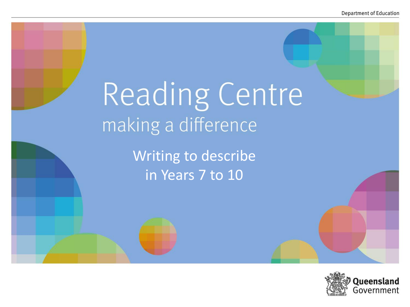# Reading Centre making a difference

Writing to describe in Years 7 to 10

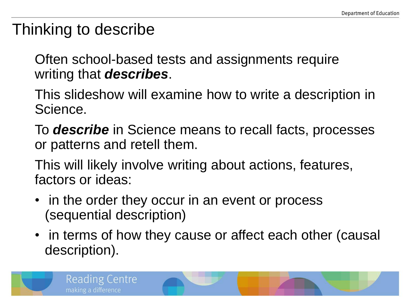### Thinking to describe

Often school-based tests and assignments require writing that *describes*.

- This slideshow will examine how to write a description in Science.
- To *describe* in Science means to recall facts, processes or patterns and retell them.
- This will likely involve writing about actions, features, factors or ideas:
- in the order they occur in an event or process (sequential description)
- in terms of how they cause or affect each other (causal description).

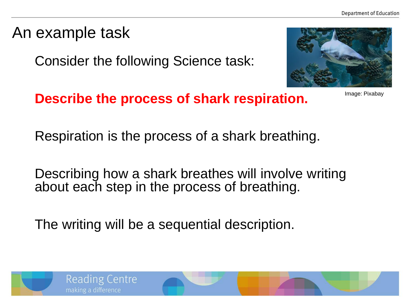#### An example task

Consider the following Science task:



Image: Pixabay

**Describe the process of shark respiration.**

Respiration is the process of a shark breathing.

Describing how a shark breathes will involve writing about each step in the process of breathing.

The writing will be a sequential description.

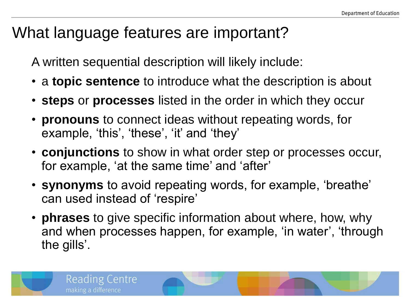## What language features are important?

A written sequential description will likely include:

- a **topic sentence** to introduce what the description is about
- **steps** or **processes** listed in the order in which they occur
- **pronouns** to connect ideas without repeating words, for example, 'this', 'these', 'it' and 'they'
- **conjunctions** to show in what order step or processes occur, for example, 'at the same time' and 'after'
- **synonyms** to avoid repeating words, for example, 'breathe' can used instead of 'respire'
- **phrases** to give specific information about where, how, why and when processes happen, for example, 'in water', 'through the gills'.